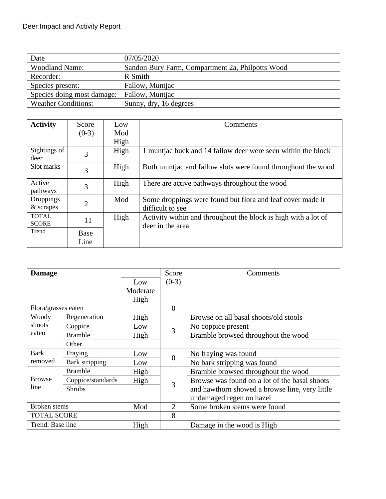| Date                       | 07/05/2020                                       |  |
|----------------------------|--------------------------------------------------|--|
| <b>Woodland Name:</b>      | Sandon Bury Farm, Compartment 2a, Philpotts Wood |  |
| Recorder:                  | R Smith                                          |  |
| Species present:           | Fallow, Muntjac                                  |  |
| Species doing most damage: | Fallow, Muntjac                                  |  |
| <b>Weather Conditions:</b> | Sunny, dry, 16 degrees                           |  |

| <b>Activity</b>              | Score          | Low  | Comments                                                                           |
|------------------------------|----------------|------|------------------------------------------------------------------------------------|
|                              | $(0-3)$        | Mod  |                                                                                    |
|                              |                | High |                                                                                    |
| Sightings of<br>deer         | 3              | High | 1 muntjac buck and 14 fallow deer were seen within the block                       |
| Slot marks                   | 3              | High | Both muntjac and fallow slots were found throughout the wood                       |
| Active<br>pathways           | 3              | High | There are active pathways throughout the wood                                      |
| Droppings<br>$&$ scrapes     | $\overline{2}$ | Mod  | Some droppings were found but flora and leaf cover made it<br>difficult to see     |
| <b>TOTAL</b><br><b>SCORE</b> | 11             | High | Activity within and throughout the block is high with a lot of<br>deer in the area |
| Trend                        | Base<br>Line   |      |                                                                                    |

| <b>Damage</b>       |                   |                       | Score          | Comments                                       |
|---------------------|-------------------|-----------------------|----------------|------------------------------------------------|
|                     |                   | Low                   | $(0-3)$        |                                                |
|                     |                   | Moderate              |                |                                                |
|                     |                   | High                  |                |                                                |
| Flora/grasses eaten |                   |                       | $\Omega$       |                                                |
| Woody               | Regeneration      | High<br>Low<br>3      |                | Browse on all basal shoots/old stools          |
| shoots              | Coppice           |                       |                | No coppice present                             |
| eaten               | <b>Bramble</b>    | High                  |                | Bramble browsed throughout the wood            |
|                     | Other             |                       |                |                                                |
| <b>Bark</b>         | Fraying           | Low<br>$\overline{0}$ |                | No fraying was found                           |
| removed             | Bark stripping    | Low                   |                | No bark stripping was found                    |
|                     | <b>Bramble</b>    | High                  |                | Bramble browsed throughout the wood            |
| <b>Browse</b>       | Coppice/standards | High                  | 3              | Browse was found on a lot of the basal shoots  |
| line                | <b>Shrubs</b>     |                       |                | and hawthorn showed a browse line, very little |
|                     |                   |                       |                | undamaged regen on hazel                       |
| <b>Broken</b> stems |                   | Mod                   | $\overline{2}$ | Some broken stems were found                   |
| <b>TOTAL SCORE</b>  |                   |                       | 8              |                                                |
| Trend: Base line    |                   | High                  |                | Damage in the wood is High                     |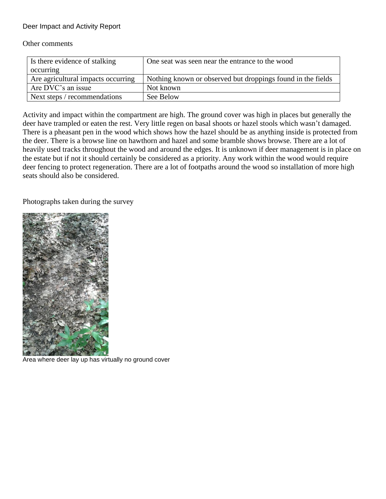Deer Impact and Activity Report

Other comments

| Is there evidence of stalking      | One seat was seen near the entrance to the wood             |  |  |
|------------------------------------|-------------------------------------------------------------|--|--|
| occurring                          |                                                             |  |  |
| Are agricultural impacts occurring | Nothing known or observed but droppings found in the fields |  |  |
| Are DVC's an issue                 | Not known                                                   |  |  |
| Next steps / recommendations       | See Below                                                   |  |  |

Activity and impact within the compartment are high. The ground cover was high in places but generally the deer have trampled or eaten the rest. Very little regen on basal shoots or hazel stools which wasn't damaged. There is a pheasant pen in the wood which shows how the hazel should be as anything inside is protected from the deer. There is a browse line on hawthorn and hazel and some bramble shows browse. There are a lot of heavily used tracks throughout the wood and around the edges. It is unknown if deer management is in place on the estate but if not it should certainly be considered as a priority. Any work within the wood would require deer fencing to protect regeneration. There are a lot of footpaths around the wood so installation of more high seats should also be considered.

Photographs taken during the survey



Area where deer lay up has virtually no ground cover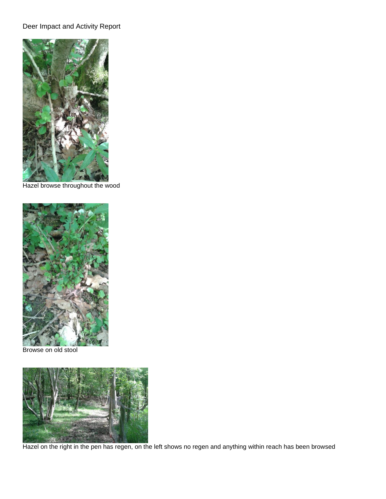## Deer Impact and Activity Report



Hazel browse throughout the wood



Browse on old stool



Hazel on the right in the pen has regen, on the left shows no regen and anything within reach has been browsed